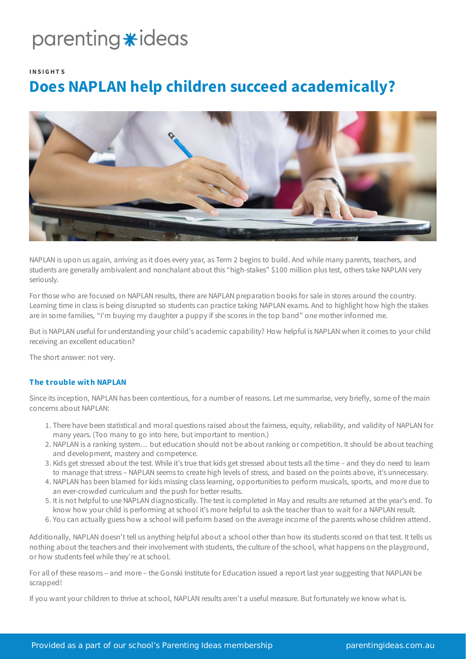## parenting \*ideas

#### **INS IG HT S**

### **Does NAPLAN help children succeed academically?**



NAPLAN is upon us again, arriving as it does every year, as Term 2 begins to build. And while many parents, teachers, and students are generally ambivalent and nonchalant about this "high-stakes" \$100 million plus test, others take NAPLAN very seriously.

For those who are focused on NAPLAN results, there are NAPLAN preparation books for sale in stores around the country. Learning time in class is being disrupted so students can practice taking NAPLAN exams. And to highlight how high the stakes are in some families, "I'm buying my daughter a puppy if she scores in the top band" one mother informed me.

But is NAPLAN useful for understanding your child's academic capability? How helpful is NAPLAN when it comes to your child receiving an excellent education?

The short answer: not very.

#### **The trouble with NAPLAN**

Since its inception, NAPLAN has been contentious, for a number of reasons. Let me summarise, very briefly, some of the main concerns about NAPLAN:

- 1. There have been statistical and moral questions raised about the fairness, equity, reliability, and validity of NAPLAN for many years. (Too many to go into here, but important to mention.)
- 2. NAPLAN is a ranking system… but education should not be about ranking or competition. It should be about teaching and development, mastery and competence.
- 3. Kids get stressed about the test. While it's true that kids get stressed about tests all the time and they do need to learn to manage that stress – NAPLAN seems to create high levels of stress, and based on the points above, it's unnecessary.
- 4. NAPLAN has been blamed for kids missing class learning, opportunities to perform musicals, sports, and more due to an ever-crowded curriculum and the push for better results.
- 5. It is not helpful to use NAPLAN diagnostically. The test is completed in May and results are returned at the year's end. To know how your child is performing at school it's more helpful to ask the teacher than to wait for a NAPLAN result.
- 6. You can actually guess how a school will perform based on the average income of the parents whose children attend.

Additionally, NAPLAN doesn't tell us anything helpful about a school other than how its students scored on that test. It tells us nothing about the teachers and their involvement with students, the culture of the school, what happens on the playground, or how students feel while they're at school.

For all of these reasons – and more – the Gonski Institute for Education issued a report last year suggesting that NAPLAN be scrapped!

If you want your children to thrive at school, NAPLAN results aren't a useful measure. But fortunately we know what is.